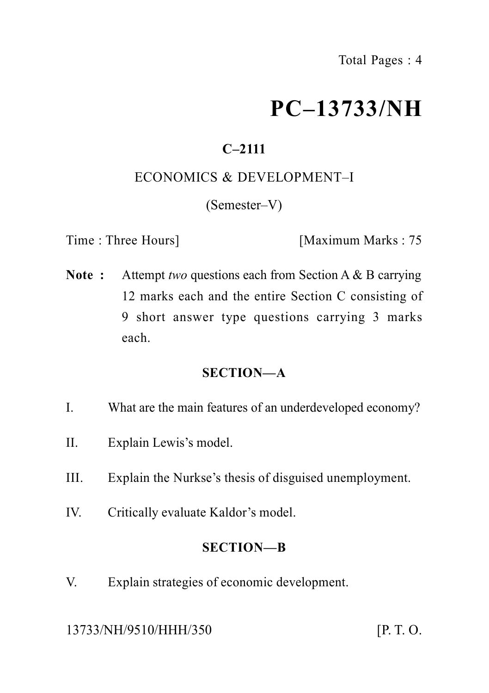# **PC–13733/NH**

## **C–2111**

#### ECONOMICS & DEVELOPMENT–I

(Semester–V)

Time : Three Hours] [Maximum Marks : 75]

**Note :** Attempt *two* questions each from Section A & B carrying 12 marks each and the entire Section C consisting of 9 short answer type questions carrying 3 marks each.

### **SECTION—A**

- I. What are the main features of an underdeveloped economy?
- II. Explain Lewis's model.
- III. Explain the Nurkse's thesis of disguised unemployment.
- IV. Critically evaluate Kaldor's model.

#### **SECTION—B**

V. Explain strategies of economic development.

13733/NH/9510/HHH/350 [P. T. O.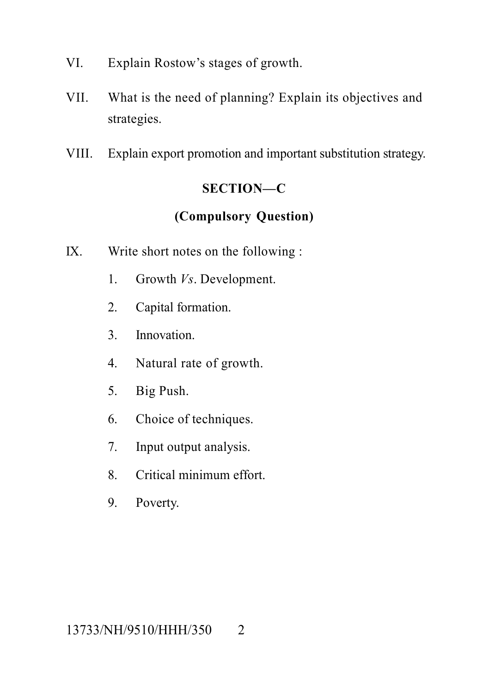- VI. Explain Rostow's stages of growth.
- VII. What is the need of planning? Explain its objectives and strategies.
- VIII. Explain export promotion and important substitution strategy.

### **SECTION—C**

## **(Compulsory Question)**

- IX. Write short notes on the following :
	- 1. Growth *Vs*. Development.
	- 2. Capital formation.
	- 3. Innovation.
	- 4. Natural rate of growth.
	- 5. Big Push.
	- 6. Choice of techniques.
	- 7. Input output analysis.
	- 8. Critical minimum effort.
	- 9. Poverty.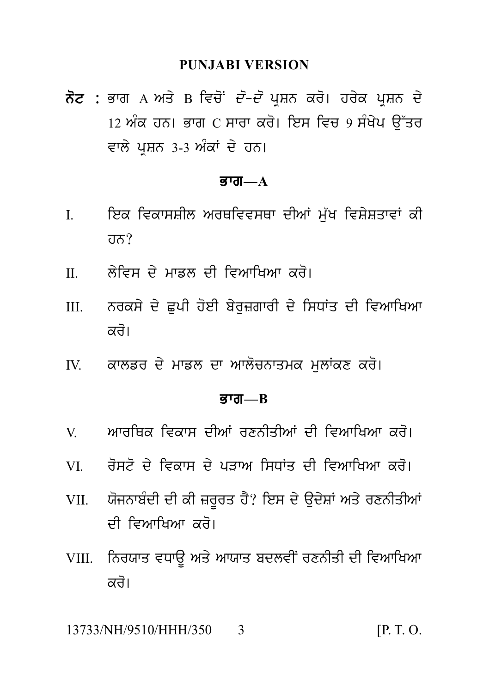#### **PUNJABI VERSION**

ਨੋਟ : ਭਾਗ A ਅਤੇ B ਵਿਚੋਂ *ਦੋ–ਦੋ* ਪਸ਼ਨ ਕਰੋ। ਹਰੇਕ ਪਸ਼ਨ ਦੇ <u>।2 ਅੰਕ ਹਨ। ਭਾਗ C ਸਾਰਾ ਕਰੋ। ਇਸ ਵਿਚ 9 ਸੰਖੇਪ ਉੱਤਰ</u> ਵਾਲੇ ਪਸ਼ਨ 3-3 ਅੰਕਾਂ ਦੇ ਹਨ।

#### **ਭਾਗ—** $A$

- ਇਕ ਵਿਕਾਸਸ਼ੀਲ ਅਰਥਵਿਵਸਥਾ ਦੀਆਂ ਮੱਖ ਵਿਸ਼ੇਸ਼ਤਾਵਾਂ ਕੀ  $\mathbf{I}$  $\overline{d} \overline{d}$
- ਲੇਵਿਸ ਦੇ ਮਾੜਲ ਦੀ ਵਿਆਖਿਆ ਕਰੋ।  $\Pi$
- ਨਰਕਸੇ ਦੇ ਛਪੀ ਹੋਈ ਬੇਰਜ਼ਗਾਰੀ ਦੇ ਸਿਧਾਂਤ ਦੀ ਵਿਆਖਿਆ  $III$ ਕਰੋ।
- ਕਾਲਡਰ ਦੇ ਮਾਡਲ ਦਾ ਆਲੋਚਨਾਤਮਕ ਮੁਲਾਂਕਣ ਕਰੋ।  $\mathbf{I} \mathbf{V}$

#### ਕਾਗ $R$

- ਆਰਥਿਕ ਵਿਕਾਸ ਦੀਆਂ ਰਣਨੀਤੀਆਂ ਦੀ ਵਿਆਖਿਆ ਕਰੋ।  $\mathbf V$
- ਰੋਸਟੋ ਦੇ ਵਿਕਾਸ ਦੇ ਪਤਾਅ ਸਿਧਾਂਤ ਦੀ ਵਿਆਖਿਆ ਕਰੋ। VI —
- ਯੋਜਨਾਬੰਦੀ ਦੀ ਕੀ ਜ਼ਰਰਤ ਹੈ? ਇਸ ਦੇ ੳਦੇਸ਼ਾਂ ਅਤੇ ਰਣਨੀਤੀਆਂ VII. ਦੀ ਵਿਆਖਿਆ *ਕ*ਰੋ।
- VIII. ਨਿਰਯਾਤ ਵਧਾੳ ਅਤੇ ਆਯਾਤ ਬਦਲਵੀਂ ਰਣਨੀਤੀ ਦੀ ਵਿਆਖਿਆ ਕਰੋ।

13733/NH/9510/HHH/350  $[P, T, O]$ 3